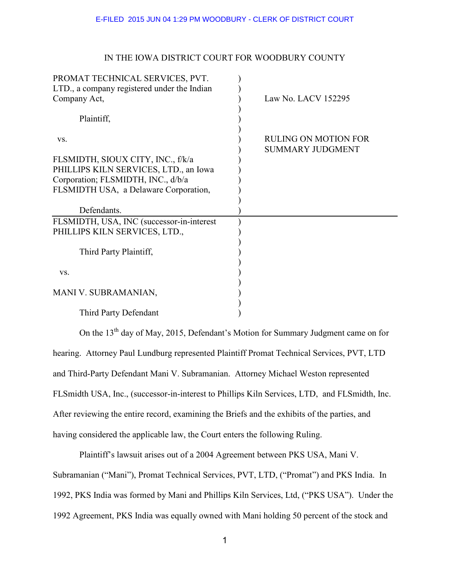## IN THE IOWA DISTRICT COURT FOR WOODBURY COUNTY

| PROMAT TECHNICAL SERVICES, PVT.<br>LTD., a company registered under the Indian |                                                 |
|--------------------------------------------------------------------------------|-------------------------------------------------|
| Company Act,                                                                   | Law No. LACV 152295                             |
| Plaintiff,                                                                     |                                                 |
| VS.                                                                            | RULING ON MOTION FOR<br><b>SUMMARY JUDGMENT</b> |
| FLSMIDTH, SIOUX CITY, INC., f/k/a                                              |                                                 |
| PHILLIPS KILN SERVICES, LTD., an Iowa                                          |                                                 |
| Corporation; FLSMIDTH, INC., d/b/a                                             |                                                 |
| FLSMIDTH USA, a Delaware Corporation,                                          |                                                 |
|                                                                                |                                                 |
| Defendants.                                                                    |                                                 |
| FLSMIDTH, USA, INC (successor-in-interest)                                     |                                                 |
| PHILLIPS KILN SERVICES, LTD.,                                                  |                                                 |
| Third Party Plaintiff,                                                         |                                                 |
| VS.                                                                            |                                                 |
| MANI V. SUBRAMANIAN,                                                           |                                                 |
| Third Party Defendant                                                          |                                                 |

On the 13<sup>th</sup> day of May, 2015, Defendant's Motion for Summary Judgment came on for hearing. Attorney Paul Lundburg represented Plaintiff Promat Technical Services, PVT, LTD and Third-Party Defendant Mani V. Subramanian. Attorney Michael Weston represented FLSmidth USA, Inc., (successor-in-interest to Phillips Kiln Services, LTD, and FLSmidth, Inc. After reviewing the entire record, examining the Briefs and the exhibits of the parties, and having considered the applicable law, the Court enters the following Ruling.

 Plaintiff's lawsuit arises out of a 2004 Agreement between PKS USA, Mani V. Subramanian ("Mani"), Promat Technical Services, PVT, LTD, ("Promat") and PKS India. In 1992, PKS India was formed by Mani and Phillips Kiln Services, Ltd, ("PKS USA"). Under the 1992 Agreement, PKS India was equally owned with Mani holding 50 percent of the stock and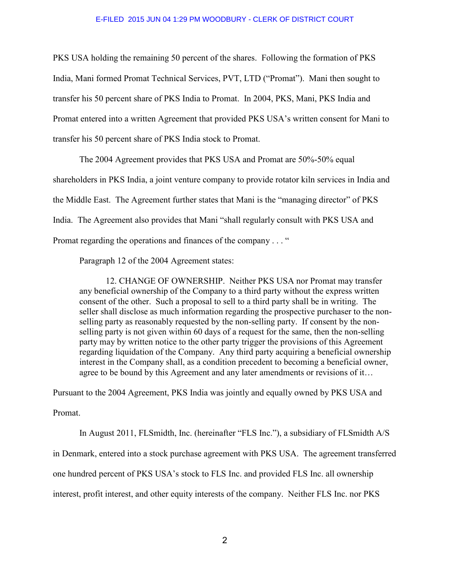PKS USA holding the remaining 50 percent of the shares. Following the formation of PKS India, Mani formed Promat Technical Services, PVT, LTD ("Promat"). Mani then sought to transfer his 50 percent share of PKS India to Promat. In 2004, PKS, Mani, PKS India and Promat entered into a written Agreement that provided PKS USA's written consent for Mani to transfer his 50 percent share of PKS India stock to Promat.

 The 2004 Agreement provides that PKS USA and Promat are 50%-50% equal shareholders in PKS India, a joint venture company to provide rotator kiln services in India and the Middle East. The Agreement further states that Mani is the "managing director" of PKS India. The Agreement also provides that Mani "shall regularly consult with PKS USA and Promat regarding the operations and finances of the company . . . "

Paragraph 12 of the 2004 Agreement states:

 12. CHANGE OF OWNERSHIP. Neither PKS USA nor Promat may transfer any beneficial ownership of the Company to a third party without the express written consent of the other. Such a proposal to sell to a third party shall be in writing. The seller shall disclose as much information regarding the prospective purchaser to the nonselling party as reasonably requested by the non-selling party. If consent by the nonselling party is not given within 60 days of a request for the same, then the non-selling party may by written notice to the other party trigger the provisions of this Agreement regarding liquidation of the Company. Any third party acquiring a beneficial ownership interest in the Company shall, as a condition precedent to becoming a beneficial owner, agree to be bound by this Agreement and any later amendments or revisions of it…

Pursuant to the 2004 Agreement, PKS India was jointly and equally owned by PKS USA and

Promat.

In August 2011, FLSmidth, Inc. (hereinafter "FLS Inc."), a subsidiary of FLSmidth A/S

in Denmark, entered into a stock purchase agreement with PKS USA. The agreement transferred

one hundred percent of PKS USA's stock to FLS Inc. and provided FLS Inc. all ownership

interest, profit interest, and other equity interests of the company. Neither FLS Inc. nor PKS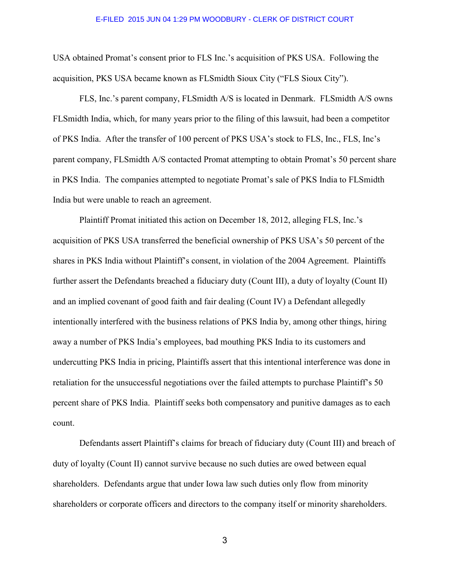USA obtained Promat's consent prior to FLS Inc.'s acquisition of PKS USA. Following the acquisition, PKS USA became known as FLSmidth Sioux City ("FLS Sioux City").

 FLS, Inc.'s parent company, FLSmidth A/S is located in Denmark. FLSmidth A/S owns FLSmidth India, which, for many years prior to the filing of this lawsuit, had been a competitor of PKS India. After the transfer of 100 percent of PKS USA's stock to FLS, Inc., FLS, Inc's parent company, FLSmidth A/S contacted Promat attempting to obtain Promat's 50 percent share in PKS India. The companies attempted to negotiate Promat's sale of PKS India to FLSmidth India but were unable to reach an agreement.

 Plaintiff Promat initiated this action on December 18, 2012, alleging FLS, Inc.'s acquisition of PKS USA transferred the beneficial ownership of PKS USA's 50 percent of the shares in PKS India without Plaintiff's consent, in violation of the 2004 Agreement. Plaintiffs further assert the Defendants breached a fiduciary duty (Count III), a duty of loyalty (Count II) and an implied covenant of good faith and fair dealing (Count IV) a Defendant allegedly intentionally interfered with the business relations of PKS India by, among other things, hiring away a number of PKS India's employees, bad mouthing PKS India to its customers and undercutting PKS India in pricing, Plaintiffs assert that this intentional interference was done in retaliation for the unsuccessful negotiations over the failed attempts to purchase Plaintiff's 50 percent share of PKS India. Plaintiff seeks both compensatory and punitive damages as to each count.

 Defendants assert Plaintiff's claims for breach of fiduciary duty (Count III) and breach of duty of loyalty (Count II) cannot survive because no such duties are owed between equal shareholders. Defendants argue that under Iowa law such duties only flow from minority shareholders or corporate officers and directors to the company itself or minority shareholders.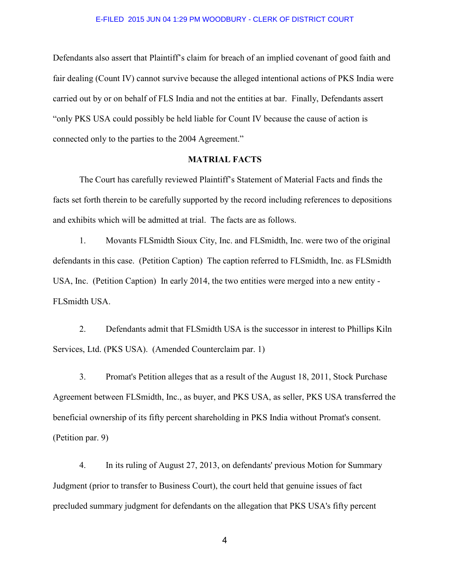Defendants also assert that Plaintiff's claim for breach of an implied covenant of good faith and fair dealing (Count IV) cannot survive because the alleged intentional actions of PKS India were carried out by or on behalf of FLS India and not the entities at bar. Finally, Defendants assert "only PKS USA could possibly be held liable for Count IV because the cause of action is connected only to the parties to the 2004 Agreement."

## **MATRIAL FACTS**

 The Court has carefully reviewed Plaintiff's Statement of Material Facts and finds the facts set forth therein to be carefully supported by the record including references to depositions and exhibits which will be admitted at trial. The facts are as follows.

1. Movants FLSmidth Sioux City, Inc. and FLSmidth, Inc. were two of the original defendants in this case. (Petition Caption) The caption referred to FLSmidth, Inc. as FLSmidth USA, Inc. (Petition Caption) In early 2014, the two entities were merged into a new entity - FLSmidth USA.

 2. Defendants admit that FLSmidth USA is the successor in interest to Phillips Kiln Services, Ltd. (PKS USA). (Amended Counterclaim par. 1)

 3. Promat's Petition alleges that as a result of the August 18, 2011, Stock Purchase Agreement between FLSmidth, Inc., as buyer, and PKS USA, as seller, PKS USA transferred the beneficial ownership of its fifty percent shareholding in PKS India without Promat's consent. (Petition par. 9)

 4. In its ruling of August 27, 2013, on defendants' previous Motion for Summary Judgment (prior to transfer to Business Court), the court held that genuine issues of fact precluded summary judgment for defendants on the allegation that PKS USA's fifty percent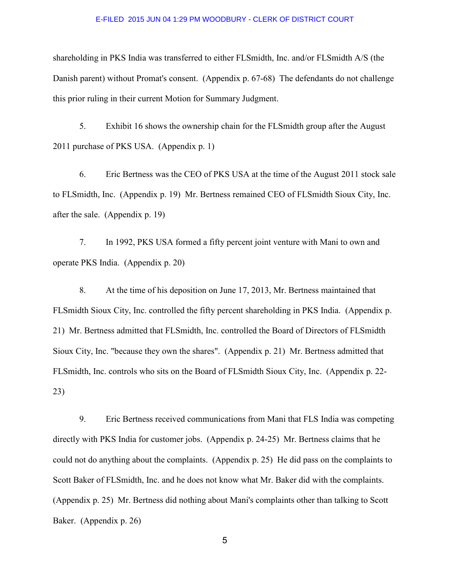shareholding in PKS India was transferred to either FLSmidth, Inc. and/or FLSmidth A/S (the Danish parent) without Promat's consent. (Appendix p. 67-68) The defendants do not challenge this prior ruling in their current Motion for Summary Judgment.

 5. Exhibit 16 shows the ownership chain for the FLSmidth group after the August 2011 purchase of PKS USA. (Appendix p. 1)

 6. Eric Bertness was the CEO of PKS USA at the time of the August 2011 stock sale to FLSmidth, Inc. (Appendix p. 19) Mr. Bertness remained CEO of FLSmidth Sioux City, Inc. after the sale. (Appendix p. 19)

 7. In 1992, PKS USA formed a fifty percent joint venture with Mani to own and operate PKS India. (Appendix p. 20)

 8. At the time of his deposition on June 17, 2013, Mr. Bertness maintained that FLSmidth Sioux City, Inc. controlled the fifty percent shareholding in PKS India. (Appendix p. 21) Mr. Bertness admitted that FLSmidth, Inc. controlled the Board of Directors of FLSmidth Sioux City, Inc. "because they own the shares". (Appendix p. 21) Mr. Bertness admitted that FLSmidth, Inc. controls who sits on the Board of FLSmidth Sioux City, Inc. (Appendix p. 22- 23)

 9. Eric Bertness received communications from Mani that FLS India was competing directly with PKS India for customer jobs. (Appendix p. 24-25) Mr. Bertness claims that he could not do anything about the complaints. (Appendix p. 25) He did pass on the complaints to Scott Baker of FLSmidth, Inc. and he does not know what Mr. Baker did with the complaints. (Appendix p. 25) Mr. Bertness did nothing about Mani's complaints other than talking to Scott Baker. (Appendix p. 26)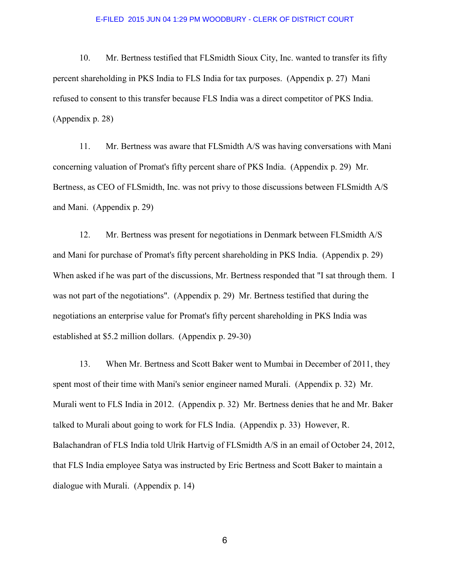10. Mr. Bertness testified that FLSmidth Sioux City, Inc. wanted to transfer its fifty percent shareholding in PKS India to FLS India for tax purposes. (Appendix p. 27) Mani refused to consent to this transfer because FLS India was a direct competitor of PKS India. (Appendix p. 28)

 11. Mr. Bertness was aware that FLSmidth A/S was having conversations with Mani concerning valuation of Promat's fifty percent share of PKS India. (Appendix p. 29) Mr. Bertness, as CEO of FLSmidth, Inc. was not privy to those discussions between FLSmidth A/S and Mani. (Appendix p. 29)

 12. Mr. Bertness was present for negotiations in Denmark between FLSmidth A/S and Mani for purchase of Promat's fifty percent shareholding in PKS India. (Appendix p. 29) When asked if he was part of the discussions, Mr. Bertness responded that "I sat through them. I was not part of the negotiations". (Appendix p. 29) Mr. Bertness testified that during the negotiations an enterprise value for Promat's fifty percent shareholding in PKS India was established at \$5.2 million dollars. (Appendix p. 29-30)

 13. When Mr. Bertness and Scott Baker went to Mumbai in December of 2011, they spent most of their time with Mani's senior engineer named Murali. (Appendix p. 32) Mr. Murali went to FLS India in 2012. (Appendix p. 32) Mr. Bertness denies that he and Mr. Baker talked to Murali about going to work for FLS India. (Appendix p. 33) However, R. Balachandran of FLS India told Ulrik Hartvig of FLSmidth A/S in an email of October 24, 2012, that FLS India employee Satya was instructed by Eric Bertness and Scott Baker to maintain a dialogue with Murali. (Appendix p. 14)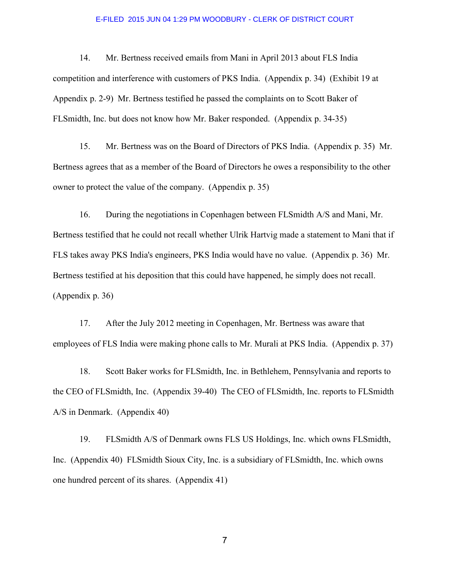14. Mr. Bertness received emails from Mani in April 2013 about FLS India competition and interference with customers of PKS India. (Appendix p. 34) (Exhibit 19 at Appendix p. 2-9) Mr. Bertness testified he passed the complaints on to Scott Baker of FLSmidth, Inc. but does not know how Mr. Baker responded. (Appendix p. 34-35)

 15. Mr. Bertness was on the Board of Directors of PKS India. (Appendix p. 35) Mr. Bertness agrees that as a member of the Board of Directors he owes a responsibility to the other owner to protect the value of the company. (Appendix p. 35)

 16. During the negotiations in Copenhagen between FLSmidth A/S and Mani, Mr. Bertness testified that he could not recall whether Ulrik Hartvig made a statement to Mani that if FLS takes away PKS India's engineers, PKS India would have no value. (Appendix p. 36) Mr. Bertness testified at his deposition that this could have happened, he simply does not recall. (Appendix p. 36)

 17. After the July 2012 meeting in Copenhagen, Mr. Bertness was aware that employees of FLS India were making phone calls to Mr. Murali at PKS India. (Appendix p. 37)

 18. Scott Baker works for FLSmidth, Inc. in Bethlehem, Pennsylvania and reports to the CEO of FLSmidth, Inc. (Appendix 39-40) The CEO of FLSmidth, Inc. reports to FLSmidth A/S in Denmark. (Appendix 40)

 19. FLSmidth A/S of Denmark owns FLS US Holdings, Inc. which owns FLSmidth, Inc. (Appendix 40) FLSmidth Sioux City, Inc. is a subsidiary of FLSmidth, Inc. which owns one hundred percent of its shares. (Appendix 41)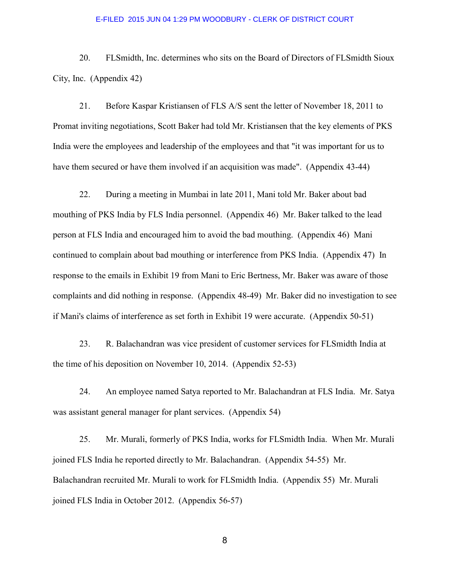20. FLSmidth, Inc. determines who sits on the Board of Directors of FLSmidth Sioux City, Inc. (Appendix 42)

 21. Before Kaspar Kristiansen of FLS A/S sent the letter of November 18, 2011 to Promat inviting negotiations, Scott Baker had told Mr. Kristiansen that the key elements of PKS India were the employees and leadership of the employees and that "it was important for us to have them secured or have them involved if an acquisition was made". (Appendix 43-44)

 22. During a meeting in Mumbai in late 2011, Mani told Mr. Baker about bad mouthing of PKS India by FLS India personnel. (Appendix 46) Mr. Baker talked to the lead person at FLS India and encouraged him to avoid the bad mouthing. (Appendix 46) Mani continued to complain about bad mouthing or interference from PKS India. (Appendix 47) In response to the emails in Exhibit 19 from Mani to Eric Bertness, Mr. Baker was aware of those complaints and did nothing in response. (Appendix 48-49) Mr. Baker did no investigation to see if Mani's claims of interference as set forth in Exhibit 19 were accurate. (Appendix 50-51)

 23. R. Balachandran was vice president of customer services for FLSmidth India at the time of his deposition on November 10, 2014. (Appendix 52-53)

 24. An employee named Satya reported to Mr. Balachandran at FLS India. Mr. Satya was assistant general manager for plant services. (Appendix 54)

 25. Mr. Murali, formerly of PKS India, works for FLSmidth India. When Mr. Murali joined FLS India he reported directly to Mr. Balachandran. (Appendix 54-55) Mr. Balachandran recruited Mr. Murali to work for FLSmidth India. (Appendix 55) Mr. Murali joined FLS India in October 2012. (Appendix 56-57)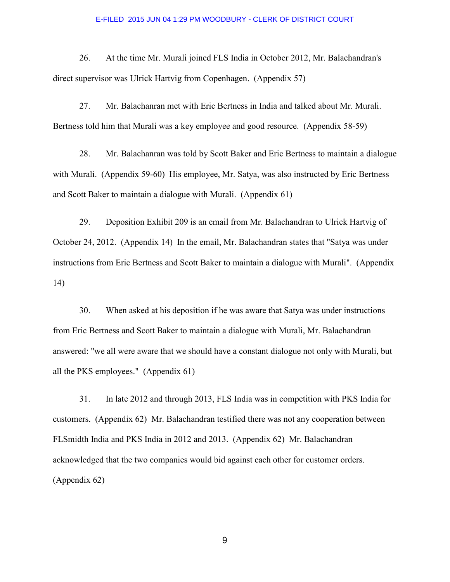26. At the time Mr. Murali joined FLS India in October 2012, Mr. Balachandran's direct supervisor was Ulrick Hartvig from Copenhagen. (Appendix 57)

 27. Mr. Balachanran met with Eric Bertness in India and talked about Mr. Murali. Bertness told him that Murali was a key employee and good resource. (Appendix 58-59)

 28. Mr. Balachanran was told by Scott Baker and Eric Bertness to maintain a dialogue with Murali. (Appendix 59-60) His employee, Mr. Satya, was also instructed by Eric Bertness and Scott Baker to maintain a dialogue with Murali. (Appendix 61)

 29. Deposition Exhibit 209 is an email from Mr. Balachandran to Ulrick Hartvig of October 24, 2012. (Appendix 14) In the email, Mr. Balachandran states that "Satya was under instructions from Eric Bertness and Scott Baker to maintain a dialogue with Murali". (Appendix 14)

 30. When asked at his deposition if he was aware that Satya was under instructions from Eric Bertness and Scott Baker to maintain a dialogue with Murali, Mr. Balachandran answered: "we all were aware that we should have a constant dialogue not only with Murali, but all the PKS employees." (Appendix 61)

 31. In late 2012 and through 2013, FLS India was in competition with PKS India for customers. (Appendix 62) Mr. Balachandran testified there was not any cooperation between FLSmidth India and PKS India in 2012 and 2013. (Appendix 62) Mr. Balachandran acknowledged that the two companies would bid against each other for customer orders. (Appendix 62)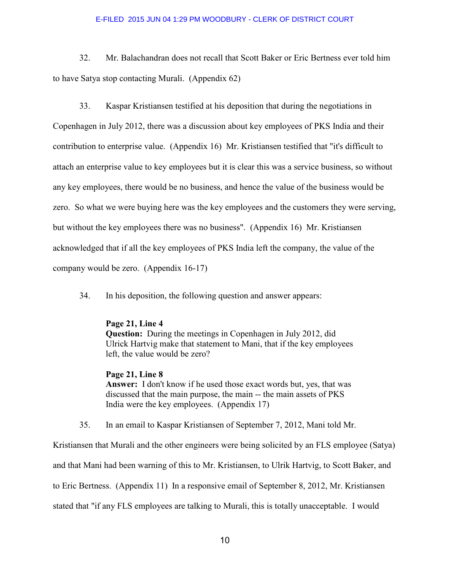32. Mr. Balachandran does not recall that Scott Baker or Eric Bertness ever told him to have Satya stop contacting Murali. (Appendix 62)

 33. Kaspar Kristiansen testified at his deposition that during the negotiations in Copenhagen in July 2012, there was a discussion about key employees of PKS India and their contribution to enterprise value. (Appendix 16) Mr. Kristiansen testified that "it's difficult to attach an enterprise value to key employees but it is clear this was a service business, so without any key employees, there would be no business, and hence the value of the business would be zero. So what we were buying here was the key employees and the customers they were serving, but without the key employees there was no business". (Appendix 16) Mr. Kristiansen acknowledged that if all the key employees of PKS India left the company, the value of the company would be zero. (Appendix 16-17)

34. In his deposition, the following question and answer appears:

# **Page 21, Line 4**

 **Question:** During the meetings in Copenhagen in July 2012, did Ulrick Hartvig make that statement to Mani, that if the key employees left, the value would be zero?

 **Page 21, Line 8 Answer:** I don't know if he used those exact words but, yes, that was discussed that the main purpose, the main -- the main assets of PKS India were the key employees. (Appendix 17)

35. In an email to Kaspar Kristiansen of September 7, 2012, Mani told Mr.

Kristiansen that Murali and the other engineers were being solicited by an FLS employee (Satya) and that Mani had been warning of this to Mr. Kristiansen, to Ulrik Hartvig, to Scott Baker, and to Eric Bertness. (Appendix 11) In a responsive email of September 8, 2012, Mr. Kristiansen stated that "if any FLS employees are talking to Murali, this is totally unacceptable. I would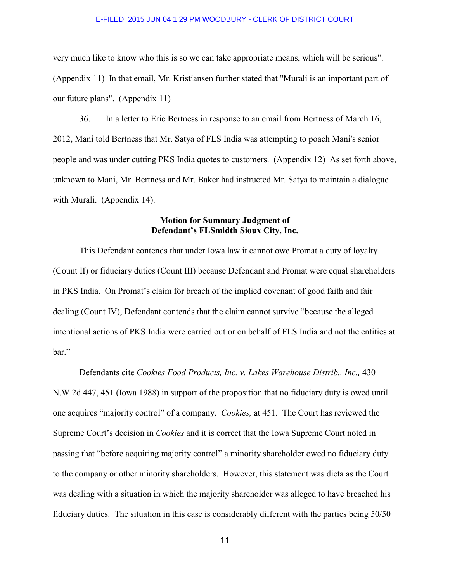very much like to know who this is so we can take appropriate means, which will be serious". (Appendix 11) In that email, Mr. Kristiansen further stated that "Murali is an important part of our future plans". (Appendix 11)

 36. In a letter to Eric Bertness in response to an email from Bertness of March 16, 2012, Mani told Bertness that Mr. Satya of FLS India was attempting to poach Mani's senior people and was under cutting PKS India quotes to customers. (Appendix 12) As set forth above, unknown to Mani, Mr. Bertness and Mr. Baker had instructed Mr. Satya to maintain a dialogue with Murali. (Appendix 14).

# **Motion for Summary Judgment of Defendant's FLSmidth Sioux City, Inc.**

 This Defendant contends that under Iowa law it cannot owe Promat a duty of loyalty (Count II) or fiduciary duties (Count III) because Defendant and Promat were equal shareholders in PKS India. On Promat's claim for breach of the implied covenant of good faith and fair dealing (Count IV), Defendant contends that the claim cannot survive "because the alleged intentional actions of PKS India were carried out or on behalf of FLS India and not the entities at bar."

 Defendants cite *Cookies Food Products, Inc. v. Lakes Warehouse Distrib., Inc.,* 430 N.W.2d 447, 451 (Iowa 1988) in support of the proposition that no fiduciary duty is owed until one acquires "majority control" of a company. *Cookies,* at 451. The Court has reviewed the Supreme Court's decision in *Cookies* and it is correct that the Iowa Supreme Court noted in passing that "before acquiring majority control" a minority shareholder owed no fiduciary duty to the company or other minority shareholders. However, this statement was dicta as the Court was dealing with a situation in which the majority shareholder was alleged to have breached his fiduciary duties. The situation in this case is considerably different with the parties being 50/50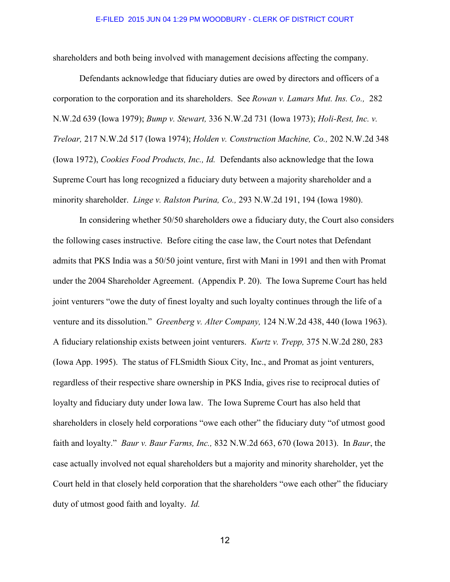shareholders and both being involved with management decisions affecting the company.

 Defendants acknowledge that fiduciary duties are owed by directors and officers of a corporation to the corporation and its shareholders. See *Rowan v. Lamars Mut. Ins. Co.,* 282 N.W.2d 639 (Iowa 1979); *Bump v. Stewart,* 336 N.W.2d 731 (Iowa 1973); *Holi-Rest, Inc. v. Treloar,* 217 N.W.2d 517 (Iowa 1974); *Holden v. Construction Machine, Co.,* 202 N.W.2d 348 (Iowa 1972), *Cookies Food Products, Inc., Id.* Defendants also acknowledge that the Iowa Supreme Court has long recognized a fiduciary duty between a majority shareholder and a minority shareholder. *Linge v. Ralston Purina, Co.,* 293 N.W.2d 191, 194 (Iowa 1980).

 In considering whether 50/50 shareholders owe a fiduciary duty, the Court also considers the following cases instructive. Before citing the case law, the Court notes that Defendant admits that PKS India was a 50/50 joint venture, first with Mani in 1991 and then with Promat under the 2004 Shareholder Agreement. (Appendix P. 20). The Iowa Supreme Court has held joint venturers "owe the duty of finest loyalty and such loyalty continues through the life of a venture and its dissolution." *Greenberg v. Alter Company,* 124 N.W.2d 438, 440 (Iowa 1963). A fiduciary relationship exists between joint venturers. *Kurtz v. Trepp,* 375 N.W.2d 280, 283 (Iowa App. 1995). The status of FLSmidth Sioux City, Inc., and Promat as joint venturers, regardless of their respective share ownership in PKS India, gives rise to reciprocal duties of loyalty and fiduciary duty under Iowa law. The Iowa Supreme Court has also held that shareholders in closely held corporations "owe each other" the fiduciary duty "of utmost good faith and loyalty." *Baur v. Baur Farms, Inc.,* 832 N.W.2d 663, 670 (Iowa 2013). In *Baur*, the case actually involved not equal shareholders but a majority and minority shareholder, yet the Court held in that closely held corporation that the shareholders "owe each other" the fiduciary duty of utmost good faith and loyalty. *Id.*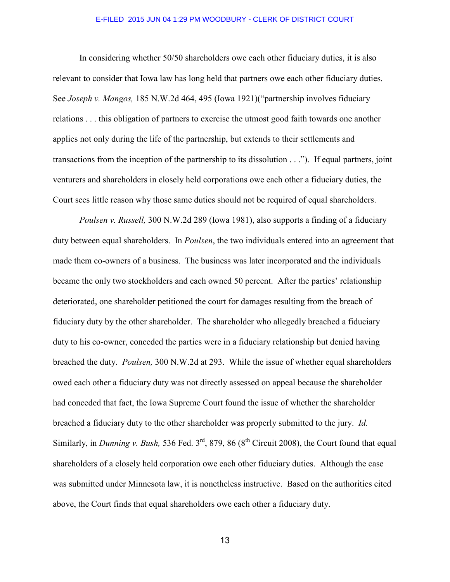In considering whether 50/50 shareholders owe each other fiduciary duties, it is also relevant to consider that Iowa law has long held that partners owe each other fiduciary duties. See *Joseph v. Mangos,* 185 N.W.2d 464, 495 (Iowa 1921)("partnership involves fiduciary relations . . . this obligation of partners to exercise the utmost good faith towards one another applies not only during the life of the partnership, but extends to their settlements and transactions from the inception of the partnership to its dissolution . . ."). If equal partners, joint venturers and shareholders in closely held corporations owe each other a fiduciary duties, the Court sees little reason why those same duties should not be required of equal shareholders.

*Poulsen v. Russell,* 300 N.W.2d 289 (Iowa 1981), also supports a finding of a fiduciary duty between equal shareholders. In *Poulsen*, the two individuals entered into an agreement that made them co-owners of a business. The business was later incorporated and the individuals became the only two stockholders and each owned 50 percent. After the parties' relationship deteriorated, one shareholder petitioned the court for damages resulting from the breach of fiduciary duty by the other shareholder. The shareholder who allegedly breached a fiduciary duty to his co-owner, conceded the parties were in a fiduciary relationship but denied having breached the duty. *Poulsen,* 300 N.W.2d at 293. While the issue of whether equal shareholders owed each other a fiduciary duty was not directly assessed on appeal because the shareholder had conceded that fact, the Iowa Supreme Court found the issue of whether the shareholder breached a fiduciary duty to the other shareholder was properly submitted to the jury. *Id.* Similarly, in *Dunning v. Bush,* 536 Fed.  $3^{rd}$ , 879, 86 ( $8^{th}$  Circuit 2008), the Court found that equal shareholders of a closely held corporation owe each other fiduciary duties. Although the case was submitted under Minnesota law, it is nonetheless instructive. Based on the authorities cited above, the Court finds that equal shareholders owe each other a fiduciary duty.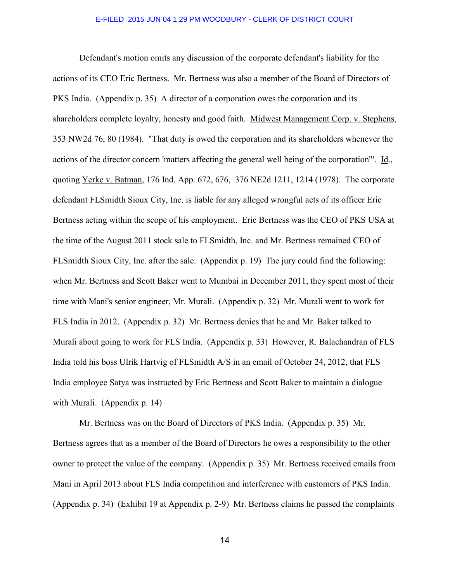Defendant's motion omits any discussion of the corporate defendant's liability for the actions of its CEO Eric Bertness. Mr. Bertness was also a member of the Board of Directors of PKS India. (Appendix p. 35) A director of a corporation owes the corporation and its shareholders complete loyalty, honesty and good faith. Midwest Management Corp. v. Stephens, 353 NW2d 76, 80 (1984). "That duty is owed the corporation and its shareholders whenever the actions of the director concern 'matters affecting the general well being of the corporation'". Id., quoting Yerke v. Batman, 176 Ind. App. 672, 676, 376 NE2d 1211, 1214 (1978). The corporate defendant FLSmidth Sioux City, Inc. is liable for any alleged wrongful acts of its officer Eric Bertness acting within the scope of his employment. Eric Bertness was the CEO of PKS USA at the time of the August 2011 stock sale to FLSmidth, Inc. and Mr. Bertness remained CEO of FLSmidth Sioux City, Inc. after the sale. (Appendix p. 19) The jury could find the following: when Mr. Bertness and Scott Baker went to Mumbai in December 2011, they spent most of their time with Mani's senior engineer, Mr. Murali. (Appendix p. 32) Mr. Murali went to work for FLS India in 2012. (Appendix p. 32) Mr. Bertness denies that he and Mr. Baker talked to Murali about going to work for FLS India. (Appendix p. 33) However, R. Balachandran of FLS India told his boss Ulrik Hartvig of FLSmidth A/S in an email of October 24, 2012, that FLS India employee Satya was instructed by Eric Bertness and Scott Baker to maintain a dialogue with Murali. (Appendix p. 14)

Mr. Bertness was on the Board of Directors of PKS India. (Appendix p. 35) Mr. Bertness agrees that as a member of the Board of Directors he owes a responsibility to the other owner to protect the value of the company. (Appendix p. 35) Mr. Bertness received emails from Mani in April 2013 about FLS India competition and interference with customers of PKS India. (Appendix p. 34) (Exhibit 19 at Appendix p. 2-9) Mr. Bertness claims he passed the complaints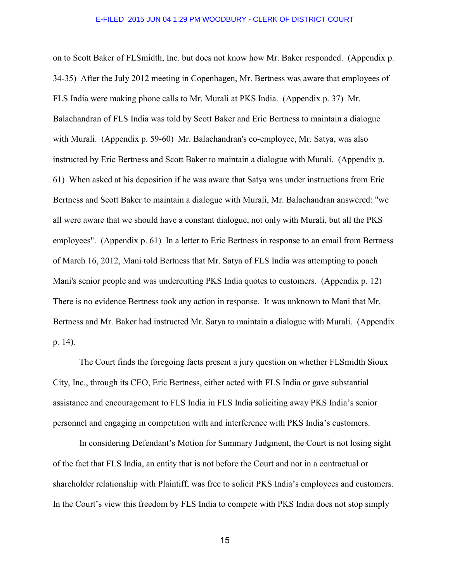on to Scott Baker of FLSmidth, Inc. but does not know how Mr. Baker responded. (Appendix p. 34-35) After the July 2012 meeting in Copenhagen, Mr. Bertness was aware that employees of FLS India were making phone calls to Mr. Murali at PKS India. (Appendix p. 37) Mr. Balachandran of FLS India was told by Scott Baker and Eric Bertness to maintain a dialogue with Murali. (Appendix p. 59-60) Mr. Balachandran's co-employee, Mr. Satya, was also instructed by Eric Bertness and Scott Baker to maintain a dialogue with Murali. (Appendix p. 61) When asked at his deposition if he was aware that Satya was under instructions from Eric Bertness and Scott Baker to maintain a dialogue with Murali, Mr. Balachandran answered: "we all were aware that we should have a constant dialogue, not only with Murali, but all the PKS employees". (Appendix p. 61) In a letter to Eric Bertness in response to an email from Bertness of March 16, 2012, Mani told Bertness that Mr. Satya of FLS India was attempting to poach Mani's senior people and was undercutting PKS India quotes to customers. (Appendix p. 12) There is no evidence Bertness took any action in response. It was unknown to Mani that Mr. Bertness and Mr. Baker had instructed Mr. Satya to maintain a dialogue with Murali. (Appendix p. 14).

 The Court finds the foregoing facts present a jury question on whether FLSmidth Sioux City, Inc., through its CEO, Eric Bertness, either acted with FLS India or gave substantial assistance and encouragement to FLS India in FLS India soliciting away PKS India's senior personnel and engaging in competition with and interference with PKS India's customers.

 In considering Defendant's Motion for Summary Judgment, the Court is not losing sight of the fact that FLS India, an entity that is not before the Court and not in a contractual or shareholder relationship with Plaintiff, was free to solicit PKS India's employees and customers. In the Court's view this freedom by FLS India to compete with PKS India does not stop simply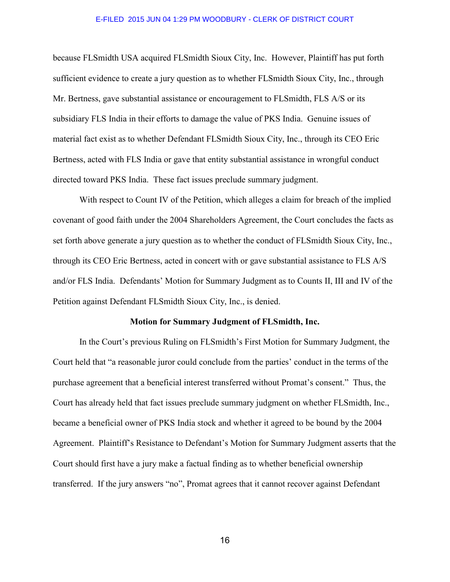because FLSmidth USA acquired FLSmidth Sioux City, Inc. However, Plaintiff has put forth sufficient evidence to create a jury question as to whether FLSmidth Sioux City, Inc., through Mr. Bertness, gave substantial assistance or encouragement to FLSmidth, FLS A/S or its subsidiary FLS India in their efforts to damage the value of PKS India. Genuine issues of material fact exist as to whether Defendant FLSmidth Sioux City, Inc., through its CEO Eric Bertness, acted with FLS India or gave that entity substantial assistance in wrongful conduct directed toward PKS India. These fact issues preclude summary judgment.

 With respect to Count IV of the Petition, which alleges a claim for breach of the implied covenant of good faith under the 2004 Shareholders Agreement, the Court concludes the facts as set forth above generate a jury question as to whether the conduct of FLSmidth Sioux City, Inc., through its CEO Eric Bertness, acted in concert with or gave substantial assistance to FLS A/S and/or FLS India. Defendants' Motion for Summary Judgment as to Counts II, III and IV of the Petition against Defendant FLSmidth Sioux City, Inc., is denied.

## **Motion for Summary Judgment of FLSmidth, Inc.**

 In the Court's previous Ruling on FLSmidth's First Motion for Summary Judgment, the Court held that "a reasonable juror could conclude from the parties' conduct in the terms of the purchase agreement that a beneficial interest transferred without Promat's consent." Thus, the Court has already held that fact issues preclude summary judgment on whether FLSmidth, Inc., became a beneficial owner of PKS India stock and whether it agreed to be bound by the 2004 Agreement. Plaintiff's Resistance to Defendant's Motion for Summary Judgment asserts that the Court should first have a jury make a factual finding as to whether beneficial ownership transferred. If the jury answers "no", Promat agrees that it cannot recover against Defendant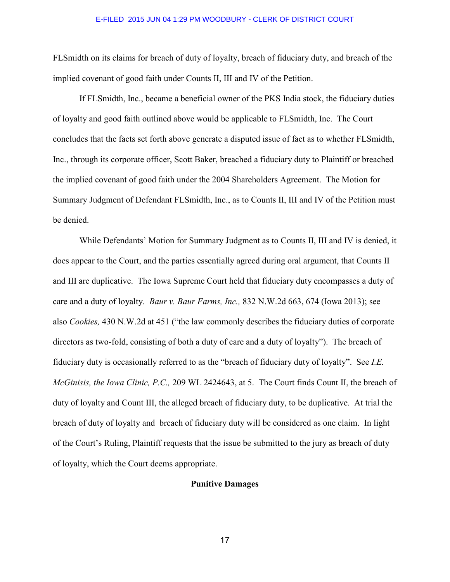FLSmidth on its claims for breach of duty of loyalty, breach of fiduciary duty, and breach of the implied covenant of good faith under Counts II, III and IV of the Petition.

 If FLSmidth, Inc., became a beneficial owner of the PKS India stock, the fiduciary duties of loyalty and good faith outlined above would be applicable to FLSmidth, Inc. The Court concludes that the facts set forth above generate a disputed issue of fact as to whether FLSmidth, Inc., through its corporate officer, Scott Baker, breached a fiduciary duty to Plaintiff or breached the implied covenant of good faith under the 2004 Shareholders Agreement. The Motion for Summary Judgment of Defendant FLSmidth, Inc., as to Counts II, III and IV of the Petition must be denied.

 While Defendants' Motion for Summary Judgment as to Counts II, III and IV is denied, it does appear to the Court, and the parties essentially agreed during oral argument, that Counts II and III are duplicative. The Iowa Supreme Court held that fiduciary duty encompasses a duty of care and a duty of loyalty. *Baur v. Baur Farms, Inc.,* 832 N.W.2d 663, 674 (Iowa 2013); see also *Cookies,* 430 N.W.2d at 451 ("the law commonly describes the fiduciary duties of corporate directors as two-fold, consisting of both a duty of care and a duty of loyalty"). The breach of fiduciary duty is occasionally referred to as the "breach of fiduciary duty of loyalty". See *I.E. McGinisis, the Iowa Clinic, P.C.,* 209 WL 2424643, at 5. The Court finds Count II, the breach of duty of loyalty and Count III, the alleged breach of fiduciary duty, to be duplicative. At trial the breach of duty of loyalty and breach of fiduciary duty will be considered as one claim. In light of the Court's Ruling, Plaintiff requests that the issue be submitted to the jury as breach of duty of loyalty, which the Court deems appropriate.

## **Punitive Damages**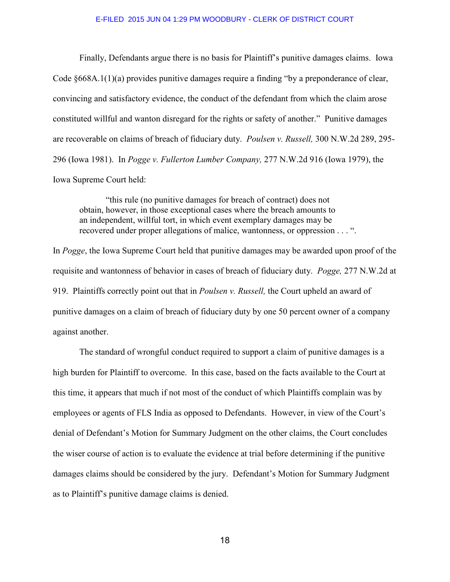Finally, Defendants argue there is no basis for Plaintiff's punitive damages claims. Iowa Code §668A.1(1)(a) provides punitive damages require a finding "by a preponderance of clear, convincing and satisfactory evidence, the conduct of the defendant from which the claim arose constituted willful and wanton disregard for the rights or safety of another." Punitive damages are recoverable on claims of breach of fiduciary duty. *Poulsen v. Russell,* 300 N.W.2d 289, 295- 296 (Iowa 1981). In *Pogge v. Fullerton Lumber Company,* 277 N.W.2d 916 (Iowa 1979), the Iowa Supreme Court held:

 "this rule (no punitive damages for breach of contract) does not obtain, however, in those exceptional cases where the breach amounts to an independent, willful tort, in which event exemplary damages may be recovered under proper allegations of malice, wantonness, or oppression . . . ".

In *Pogge*, the Iowa Supreme Court held that punitive damages may be awarded upon proof of the requisite and wantonness of behavior in cases of breach of fiduciary duty. *Pogge,* 277 N.W.2d at 919. Plaintiffs correctly point out that in *Poulsen v. Russell,* the Court upheld an award of punitive damages on a claim of breach of fiduciary duty by one 50 percent owner of a company against another.

 The standard of wrongful conduct required to support a claim of punitive damages is a high burden for Plaintiff to overcome. In this case, based on the facts available to the Court at this time, it appears that much if not most of the conduct of which Plaintiffs complain was by employees or agents of FLS India as opposed to Defendants. However, in view of the Court's denial of Defendant's Motion for Summary Judgment on the other claims, the Court concludes the wiser course of action is to evaluate the evidence at trial before determining if the punitive damages claims should be considered by the jury. Defendant's Motion for Summary Judgment as to Plaintiff's punitive damage claims is denied.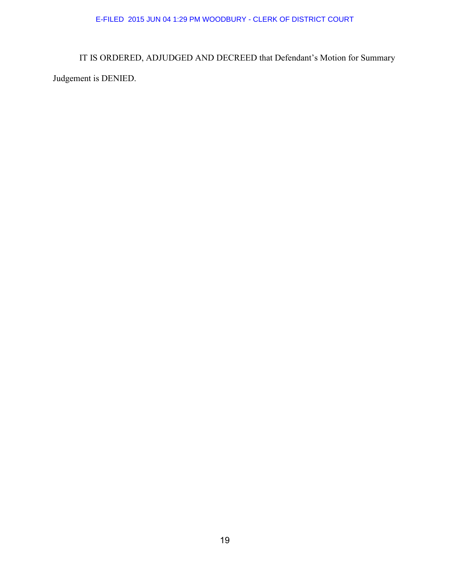IT IS ORDERED, ADJUDGED AND DECREED that Defendant's Motion for Summary Judgement is DENIED.